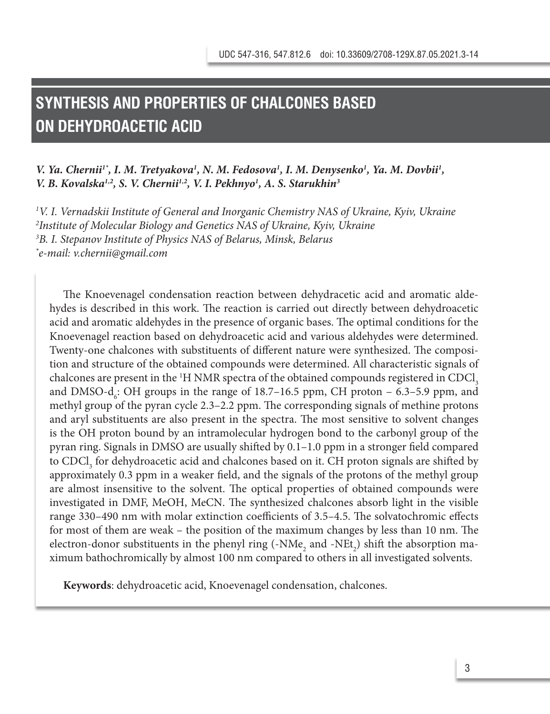# **SYNTHESIS AND PROPERTIES OF CHALCONES BASED ON DEHYDROACETIC ACID**

## *V. Ya. Chernii<sup>1\*</sup>, I. M. Tretyakova<sup>1</sup>, N. M. Fedosova<sup>1</sup>, I. M. Denysenko<sup>1</sup>, Ya. M. Dovbii<sup>1</sup>, V. B. Kovalska1,2, S. V. Chernii1,2, V. I. Pekhnyo1 , A. S. Starukhin3*

 *V. I. Vernadskii Institute of General and Inorganic Chemistry NAS of Ukraine, Kyiv, Ukraine Institute of Molecular Biology and Genetics NAS of Ukraine, Kyiv, Ukraine B. I. Stepanov Institute of Physics NAS of Belarus, Minsk, Belarus \* e-mail: v.chernii@gmail.com*

The Knoevenagel condensation reaction between dehydracetic acid and aromatic aldehydes is described in this work. The reaction is carried out directly between dehydroacetic acid and aromatic aldehydes in the presence of organic bases. The optimal conditions for the Knoevenagel reaction based on dehydroacetic acid and various aldehydes were determined. Twenty-one chalcones with substituents of different nature were synthesized. The composition and structure of the obtained compounds were determined. All characteristic signals of chalcones are present in the  $^1{\rm H}$  NMR spectra of the obtained compounds registered in CDCl<sub>3</sub> and DMSO-d<sub>6</sub>: OH groups in the range of  $18.7-16.5$  ppm, CH proton – 6.3–5.9 ppm, and methyl group of the pyran cycle 2.3–2.2 ppm. The corresponding signals of methine protons and aryl substituents are also present in the spectra. The most sensitive to solvent changes is the OH proton bound by an intramolecular hydrogen bond to the carbonyl group of the pyran ring. Signals in DMSO are usually shifted by 0.1–1.0 ppm in a stronger field compared to  $\text{CDCl}_3$  for dehydroacetic acid and chalcones based on it. CH proton signals are shifted by approximately 0.3 ppm in a weaker field, and the signals of the protons of the methyl group are almost insensitive to the solvent. The optical properties of obtained compounds were investigated in DMF, MeOH, MeCN. The synthesized chalcones absorb light in the visible range 330–490 nm with molar extinction coefficients of 3.5–4.5. The solvatochromic effects for most of them are weak – the position of the maximum changes by less than 10 nm. The electron-donor substituents in the phenyl ring (-NMe<sub>2</sub> and -NEt<sub>2</sub>) shift the absorption maximum bathochromically by almost 100 nm compared to others in all investigated solvents.

**Keywords**: dehydroacetic acid, Knoevenagel condensation, chalcones.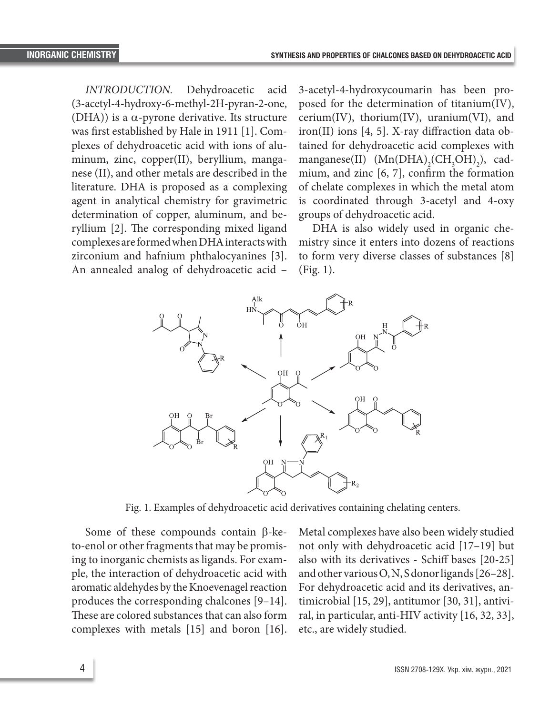copper(II), beryllium, manganese (II), and other metals are described in the

*INTRODUCTION.* Dehydroacetic acid (3-acetyl-4-hydroxy-6-methyl-2H-pyran-2-one, (DHA)) is a  $\alpha$ -pyrone derivative. Its structure was first established by Hale in 1911 [1]. Сomplexes of dehydroacetic acid with ions of aluminum, zinc, copper(II), beryllium, manganese (II), and other metals are described in the literature. DHA is proposed as a complexing agent in analytical chemistry for gravimetric determination of copper, aluminum, and beryllium [2]. The corresponding mixed ligand complexes are formed when DHA interacts with mi zirconium and hafnium phthalocyanines [3].

ION. Dehydroacetic acid 3-acetyl-4-hydroxycoumarin has been proxy-6-methyl-2H-pyran-2-one, posed for the determination of titanium(IV), prone derivative. Its structure  $\quad$  cerium(IV), thorium(IV), uranium(VI), and iron(II) ions [4, 5]. X-ray diffraction data ob- $\frac{1}{2}$  and  $\frac{1}{2}$ .  $\frac{1}{2}$ .  $\frac{1}{2}$ .  $\frac{1}{2}$  and  $\frac{1}{2}$  and  $\frac{1}{2}$  and  $\frac{1}{2}$  and  $\frac{1}{2}$  and  $\frac{1}{2}$  and  $\frac{1}{2}$  and  $\frac{1}{2}$  and  $\frac{1}{2}$  and  $\frac{1}{2}$  and  $\frac{1}{2}$  and  $\frac{1}{2}$  and  $\frac{1}{$ pper(II), beryllium, manga- manganese(II)  $(Mn(DHA)_{2}(CH_{3}OH)_{2})$ , cader metals are described in the  $\frac{1}{100}$  mium, and zinc [6, 7], confirm the formation of chelate complexes in which the metal atom is proposed as a complexing to chelate complexes in which the inetal atom<br>al chemistry for gravimetric is coordinated through 3-acetyl and 4-oxy copper, aluminum, and be- groups of dehydroacetic acid.

An annealed analog of dehydroacetic acid –  $(Fig. 1)$ . corresponding mixed ligand DHA is also widely used in organic chemistry since it enters into dozens of reactions to form very diverse classes of substances [8] (Fig. 1).



Fig. 1. Examples of dehydroacetic acid derivatives containing chelating Fig. 1. Examples of dehydroacetic acid derivatives containing chelating centers.

Some of these compounds contain  $\beta$ -kecomplexes with metals [15] and boron [16]. etc., are widely studied. to-enol or other fragments that may be promising to inorganic chemists as ligands. For example, the interaction of dehydroacetic acid with aromatic aldehydes by the Knoevenagel reaction produces the corresponding chalcones [9–14]. These are colored substances that can also form

as ligands. For exam- also with its derivatives - Schiff bases [20-25] be promising to dehydroacetic acid with and other various  $O, N$ , subhoring ands  $[20-20]$ .<br>For dehydroacetic acid and its derivatives, anresponding chalcones [9-14]. timicrobial [15, 29], antitumor [30, 31], antivisubstances that can also form ral, in particular, anti-HIV activity [16, 32, 33], Metal complexes have also been widely studied not only with dehydroacetic acid [17–19] but and other various O, N, S donor ligands [26–28]. etc., are widely studied.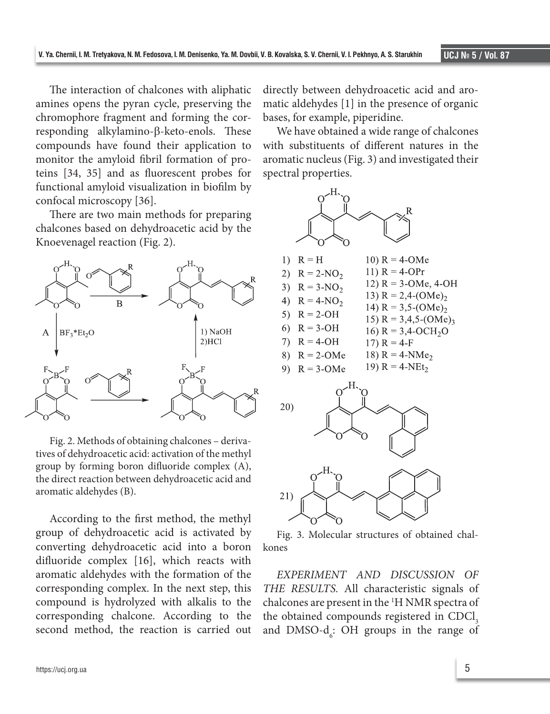The interaction of chalcones with aliphatic amines opens the pyran cycle, preserving the chromophore fragment and forming the cor-<br>chromophore fragment and forming the cor-<br> $\frac{1}{2}$  bases, for example, piperidine. responding alkylamino-β-keto-enols. These We have obtained a wide range of cha compounds have found their application to monitor the amyloid fibril formation of pro-<br>pro-<br>pro-<br>preserving the corresponding to the corresponding to the corresponding and investigated teins [34, 35] and as fluorescent probes for functional amyloid visualization in biofilm by  $H<sub>z</sub>$ confocal microscopy [36].  $Q^{\text{max}}$ <sup>0</sup> The interaction of chalcones with aliphatic directly between dehydroacetic acid and aro-

There are two main methods for preparing  $\sim$ chalcones based on dehydroacetic acid by the  $\mathbb{R}$ Knoevenagel reaction (Fig. 2).



Fig. 2. Methods of obtaining chalcones – derivatives of dehydroacetic acid: activation of the methyl group by forming boron difluoride complex  $(A)$ ,  $A$ ,  $B$ ,  $C$ the direct reaction between dehydroacetic acid and  $\begin{bmatrix} 0 & 0 \\ 1 & 0 \end{bmatrix}$ aromatic aldehydes (B).

According to the first method, the methyl  $\sim$ group of dehydroacetic acid is activated by Fig. 3. Molecular structures of obtained converting dehydroacetic acid into a boron kones<br>differential reacted algebra with the formation of the corresponding to the corresponding to the corresponding difluoride complex [16], which reacts with aromatic aldehydes with the formation of the EXPERIMENT AND DISCUSSION corresponding complex. In the next step, this THE RESULTS. All characteristic signal compound is hydrolyzed with alkalis to the chalcones are present in the <sup>1</sup>H NMR spect corresponding chalcone. According to the second method, the reaction is carried out

matic aldehydes [1] in the presence of organic bases, for example, piperidine.

We have obtained a wide range of chalcones pounds have found their application to with substituents of different natures in the aromatic nucleus (Fig. 3) and investigated their spectral properties.



Fig. 3. Molecular structures of obtained chalkones  $\overline{\phantom{a}}$ 

*EXPERIMENT AND DISCUSSION OF*  THE RESULTS. All characteristic signals of chalcones are present in the <sup>1</sup>H NMR spectra of the obtained compounds registered in CDCl<sub>3</sub> nd method, the reaction is carried out and  $\text{DMSO-d}_{6}$ : OH groups in the range of botance compounds registered in CDCl<sub>3</sub><br> $\frac{1}{3}$  DMSO-d<sub>3</sub>. OH groups in the range of  $p = 6.9$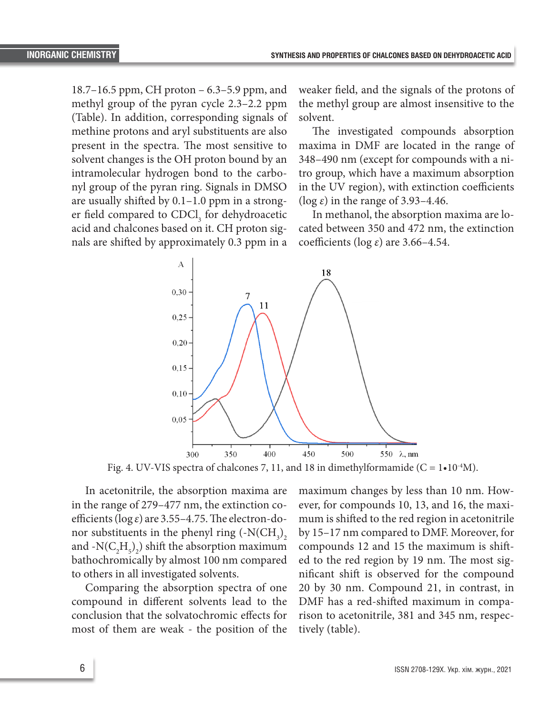18.7–16.5 ppm, CH proton – 6.3–5.9 ppm, and methyl group of the pyran cycle 2.3–2.2 ppm (Table). In addition, corresponding signals of methine protons and aryl substituents are also present in the spectra. The most sensitive to solvent changes is the OH proton bound by an intramolecular hydrogen bond to the carbonyl group of the pyran ring. Signals in DMSO are usually shifted by 0.1–1.0 ppm in a stronger field compared to  $CDCl<sub>3</sub>$  for dehydroacetic acid and chalcones based on it. CH proton signals are shifted by approximately 0.3 ppm in a

weaker field, and the signals of the protons of the methyl group are almost insensitive to the solvent.

The investigated compounds absorption maxima in DMF are located in the range of 348–490 nm (except for compounds with a nitro group, which have a maximum absorption in the UV region), with extinction coefficients (log *ε*) in the range of 3.93–4.46.

In methanol, the absorption maxima are located between 350 and 472 nm, the extinction coefficients (log *ε*) are 3.66–4.54.



Fig. 4. UV-VIS spectra of chalcones 7, 11, and 18 in dimethylformamide (C =  $1 \cdot 10^{-4}$ M).

In acetonitrile, the absorption maxima are in the range of 279–477 nm, the extinction coefficients (log *ε*) are 3.55–4.75. The electron-donor substituents in the phenyl ring  $\left(\text{-N}(\text{CH}_3)\right)_2$ and  $\text{-N}(C_2H_5)_2$ ) shift the absorption maximum bathochromically by almost 100 nm compared to others in all investigated solvents.

Comparing the absorption spectra of one compound in different solvents lead to the conclusion that the solvatochromic effects for most of them are weak - the position of the maximum changes by less than 10 nm. However, for compounds 10, 13, and 16, the maximum is shifted to the red region in acetonitrile by 15–17 nm compared to DMF. Moreover, for compounds 12 and 15 the maximum is shifted to the red region by 19 nm. The most significant shift is observed for the compound 20 by 30 nm. Compound 21, in contrast, in DMF has a red-shifted maximum in comparison to acetonitrile, 381 and 345 nm, respectively (table).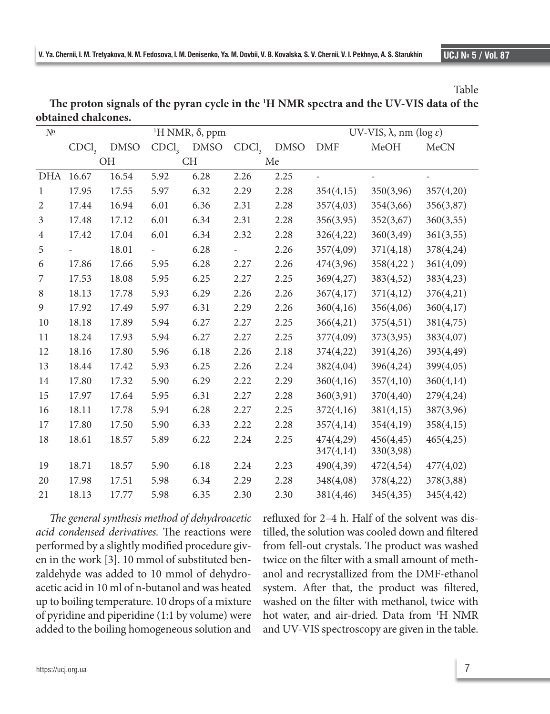|                                                                                                    | Table |
|----------------------------------------------------------------------------------------------------|-------|
| The proton signals of the pyran cycle in the <sup>1</sup> H NMR spectra and the UV-VIS data of the |       |
| obtained chalcones.                                                                                |       |
|                                                                                                    |       |

| N <sup>0</sup> | <sup>1</sup> H NMR, δ, ppm |             |                   |             |                   |             | UV-VIS, $\lambda$ , nm (log $\varepsilon$ ) |            |           |
|----------------|----------------------------|-------------|-------------------|-------------|-------------------|-------------|---------------------------------------------|------------|-----------|
|                | CDCl <sub>3</sub>          | <b>DMSO</b> | CDCl <sub>3</sub> | <b>DMSO</b> | CDCl <sub>3</sub> | <b>DMSO</b> | <b>DMF</b>                                  | MeOH       | MeCN      |
|                | OH                         |             | <b>CH</b>         |             | Me                |             |                                             |            |           |
| <b>DHA</b>     | 16.67                      | 16.54       | 5.92              | 6.28        | 2.26              | 2.25        |                                             |            |           |
| $\mathbf{1}$   | 17.95                      | 17.55       | 5.97              | 6.32        | 2.29              | 2.28        | 354(4,15)                                   | 350(3,96)  | 357(4,20) |
| $\overline{2}$ | 17.44                      | 16.94       | 6.01              | 6.36        | 2.31              | 2.28        | 357(4,03)                                   | 354(3,66)  | 356(3,87) |
| $\mathfrak{Z}$ | 17.48                      | 17.12       | 6.01              | 6.34        | 2.31              | 2.28        | 356(3,95)                                   | 352(3,67)  | 360(3,55) |
| $\overline{4}$ | 17.42                      | 17.04       | 6.01              | 6.34        | 2.32              | 2.28        | 326(4,22)                                   | 360(3,49)  | 361(3,55) |
| 5              |                            | 18.01       |                   | 6.28        |                   | 2.26        | 357(4,09)                                   | 371(4,18)  | 378(4,24) |
| 6              | 17.86                      | 17.66       | 5.95              | 6.28        | 2.27              | 2.26        | 474(3,96)                                   | 358(4,22)  | 361(4,09) |
| 7              | 17.53                      | 18.08       | 5.95              | 6.25        | 2.27              | 2.25        | 369(4,27)                                   | 383(4,52)  | 383(4,23) |
| $\,8\,$        | 18.13                      | 17.78       | 5.93              | 6.29        | 2.26              | 2.26        | 367(4,17)                                   | 371(4,12)  | 376(4,21) |
| 9              | 17.92                      | 17.49       | 5.97              | 6.31        | 2.29              | 2.26        | 360(4,16)                                   | 356(4,06)  | 360(4,17) |
| 10             | 18.18                      | 17.89       | 5.94              | 6.27        | 2.27              | 2.25        | 366(4,21)                                   | 375(4,51)  | 381(4,75) |
| 11             | 18.24                      | 17.93       | 5.94              | 6.27        | 2.27              | 2.25        | 377(4,09)                                   | 373(3,95)  | 383(4,07) |
| 12             | 18.16                      | 17.80       | 5.96              | 6.18        | 2.26              | 2.18        | 374(4,22)                                   | 391(4,26)  | 393(4,49) |
| 13             | 18.44                      | 17.42       | 5.93              | 6.25        | 2.26              | 2.24        | 382(4,04)                                   | 396(4,24)  | 399(4,05) |
| 14             | 17.80                      | 17.32       | 5.90              | 6.29        | 2.22              | 2.29        | 360(4,16)                                   | 357(4,10)  | 360(4,14) |
| 15             | 17.97                      | 17.64       | 5.95              | 6.31        | 2.27              | 2.28        | 360(3,91)                                   | 370(4,40)  | 279(4,24) |
| 16             | 18.11                      | 17.78       | 5.94              | 6.28        | 2.27              | 2.25        | 372(4,16)                                   | 381(4,15)  | 387(3,96) |
| 17             | 17.80                      | 17.50       | 5.90              | 6.33        | 2.22              | 2.28        | 357(4,14)                                   | 354(4,19)  | 358(4,15) |
| 18             | 18.61                      | 18.57       | 5.89              | 6.22        | 2.24              | 2.25        | 474(4,29)                                   | 456(4, 45) | 465(4,25) |
|                |                            |             |                   |             |                   |             | 347(4,14)                                   | 330(3,98)  |           |
| 19             | 18.71                      | 18.57       | 5.90              | 6.18        | 2.24              | 2.23        | 490(4,39)                                   | 472(4,54)  | 477(4,02) |
| 20             | 17.98                      | 17.51       | 5.98              | 6.34        | 2.29              | 2.28        | 348(4,08)                                   | 378(4,22)  | 378(3,88) |
| 21             | 18.13                      | 17.77       | 5.98              | 6.35        | 2.30              | 2.30        | 381(4,46)                                   | 345(4,35)  | 345(4,42) |

*The general synthesis method of dehydroacetic acid condensed derivatives.* The reactions were performed by a slightly modified procedure given in the work [3]. 10 mmol of substituted benzaldehyde was added to 10 mmol of dehydroacetic acid in 10 ml of n-butanol and was heated up to boiling temperature. 10 drops of a mixture of pyridine and piperidine (1:1 by volume) were added to the boiling homogeneous solution and

refluxed for 2–4 h. Half of the solvent was distilled, the solution was cooled down and filtered from fell-out crystals. The product was washed twice on the filter with a small amount of methanol and recrystallized from the DMF-ethanol system. After that, the product was filtered, washed on the filter with methanol, twice with hot water, and air-dried. Data from 1 H NMR and UV-VIS spectroscopy are given in the table.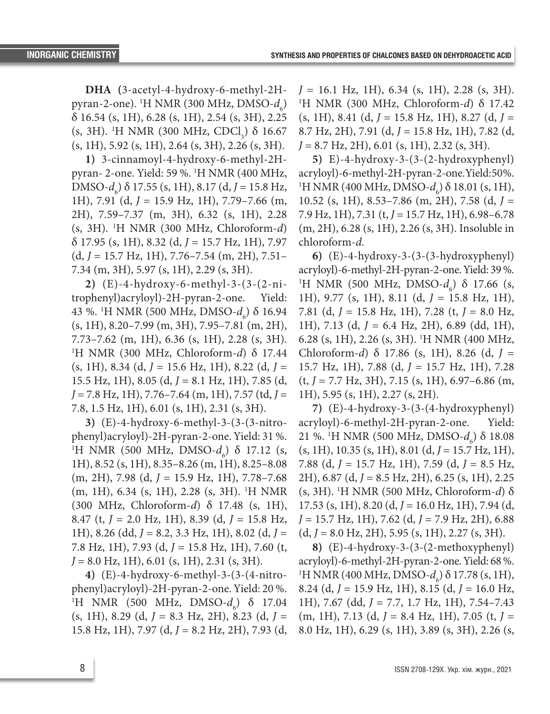**DHA (**3-acetyl-4-hydroxy-6-methyl-2Hpyran-2-one). <sup>1</sup>H NMR (300 MHz, DMSO- $d_6$ ) δ 16.54 (s, 1H), 6.28 (s, 1H), 2.54 (s, 3H), 2.25 (s, 3H). <sup>1</sup>H NMR (300 MHz, CDCl<sub>3</sub>)  $\delta$  16.67  $(s, 1H), 5.92 (s, 1H), 2.64 (s, 3H), 2.26 (s, 3H).$ 

**1)** 3-cinnamoyl-4-hydroxy-6-methyl-2Hpyran- 2-one. Yield: 59 %. 1 H NMR (400 MHz, DMSO- $d_6$ )  $\delta$  17.55 (s, 1H), 8.17 (d, *J* = 15.8 Hz, 1H), 7.91 (d, *J* = 15.9 Hz, 1H), 7.79–7.66 (m, 2H), 7.59–7.37 (m, 3H), 6.32 (s, 1H), 2.28 (s, 3H). 1 H NMR (300 MHz, Chloroform-*d*) δ 17.95 (s, 1H), 8.32 (d, *J* = 15.7 Hz, 1H), 7.97 (d, *J* = 15.7 Hz, 1H), 7.76–7.54 (m, 2H), 7.51– 7.34 (m, 3H), 5.97 (s, 1H), 2.29 (s, 3H).

**2)** (E)-4-hydroxy-6-methyl-3-(3-(2-nitrophenyl)acryloyl)-2H-pyran-2-one. Yield: 43 %. <sup>1</sup>H NMR (500 MHz, DMSO- $d_6$ ) δ 16.94 (s, 1H), 8.20–7.99 (m, 3H), 7.95–7.81 (m, 2H), 7.73–7.62 (m, 1H), 6.36 (s, 1H), 2.28 (s, 3H). 1 H NMR (300 MHz, Chloroform-*d*) δ 17.44 (s, 1H), 8.34 (d, *J* = 15.6 Hz, 1H), 8.22 (d, *J* = 15.5 Hz, 1H), 8.05 (d, *J* = 8.1 Hz, 1H), 7.85 (d, *J* = 7.8 Hz, 1H), 7.76–7.64 (m, 1H), 7.57 (td, *J* = 7.8, 1.5 Hz, 1H), 6.01 (s, 1H), 2.31 (s, 3H).

**3)** (E)-4-hydroxy-6-methyl-3-(3-(3-nitrophenyl)acryloyl)-2H-pyran-2-one. Yield: 31 %. <sup>1</sup>H NMR (500 MHz, DMSO- $d_6$ ) δ 17.12 (s, 1H), 8.52 (s, 1H), 8.35–8.26 (m, 1H), 8.25–8.08 (m, 2H), 7.98 (d, *J* = 15.9 Hz, 1H), 7.78–7.68 (m, 1H), 6.34 (s, 1H), 2.28 (s, 3H). 1 H NMR (300 MHz, Chloroform-*d*) δ 17.48 (s, 1H), 8.47 (t, *J* = 2.0 Hz, 1H), 8.39 (d, *J* = 15.8 Hz, 1H), 8.26 (dd, *J* = 8.2, 3.3 Hz, 1H), 8.02 (d, *J* = 7.8 Hz, 1H), 7.93 (d, *J* = 15.8 Hz, 1H), 7.60 (t, *J* = 8.0 Hz, 1H), 6.01 (s, 1H), 2.31 (s, 3H).

**4)** (E)-4-hydroxy-6-methyl-3-(3-(4-nitrophenyl)acryloyl)-2H-pyran-2-one. Yield: 20 %. <sup>1</sup>H NMR (500 MHz, DMSO-*d<sub>6</sub>*) δ 17.04 (s, 1H), 8.29 (d, *J* = 8.3 Hz, 2H), 8.23 (d, *J* = 15.8 Hz, 1H), 7.97 (d, *J* = 8.2 Hz, 2H), 7.93 (d,

*J* = 16.1 Hz, 1H), 6.34 (s, 1H), 2.28 (s, 3H). 1 H NMR (300 MHz, Chloroform-*d*) δ 17.42  $(s, 1H), 8.41$  (d,  $J = 15.8$  Hz, 1H), 8.27 (d,  $J =$ 8.7 Hz, 2H), 7.91 (d, *J* = 15.8 Hz, 1H), 7.82 (d, *J* = 8.7 Hz, 2H), 6.01 (s, 1H), 2.32 (s, 3H).

**5)** E)-4-hydroxy-3-(3-(2-hydroxyphenyl) acryloyl)-6-methyl-2H-pyran-2-one. Yield: 50%. <sup>1</sup>H NMR (400 MHz, DMSO- $d_6$ ) δ 18.01 (s, 1H), 10.52 (s, 1H), 8.53–7.86 (m, 2H), 7.58 (d, *J* = 7.9 Hz, 1H), 7.31 (t, *J* = 15.7 Hz, 1H), 6.98–6.78 (m, 2H), 6.28 (s, 1H), 2.26 (s, 3H). Insoluble in chloroform-*d*.

**6)** (E)-4-hydroxy-3-(3-(3-hydroxyphenyl) acryloyl)-6-methyl-2H-pyran-2-one. Yield: 39 %. <sup>1</sup>H NMR (500 MHz, DMSO- $d_6$ ) δ 17.66 (s, 1H), 9.77 (s, 1H), 8.11 (d, *J* = 15.8 Hz, 1H), 7.81 (d, *J* = 15.8 Hz, 1H), 7.28 (t, *J* = 8.0 Hz, 1H), 7.13 (d, *J* = 6.4 Hz, 2H), 6.89 (dd, 1H), 6.28 (s, 1H), 2.26 (s, 3H). 1 H NMR (400 MHz, Chloroform-*d*) δ 17.86 (s, 1H), 8.26 (d, *J* = 15.7 Hz, 1H), 7.88 (d, *J* = 15.7 Hz, 1H), 7.28 (t, *J* = 7.7 Hz, 3H), 7.15 (s, 1H), 6.97–6.86 (m, 1H), 5.95 (s, 1H), 2.27 (s, 2H).

**7)** (E)-4-hydroxy-3-(3-(4-hydroxyphenyl) acryloyl)-6-methyl-2H-pyran-2-one. Yield: 21 %. <sup>1</sup>H NMR (500 MHz, DMSO- $d_6$ ) δ 18.08 (s, 1H), 10.35 (s, 1H), 8.01 (d, *J* = 15.7 Hz, 1H), 7.88 (d, *J* = 15.7 Hz, 1H), 7.59 (d, *J* = 8.5 Hz, 2H), 6.87 (d, *J* = 8.5 Hz, 2H), 6.25 (s, 1H), 2.25 (s, 3H). 1 H NMR (500 MHz, Chloroform-*d*) δ 17.53 (s, 1H), 8.20 (d, *J* = 16.0 Hz, 1H), 7.94 (d, *J* = 15.7 Hz, 1H), 7.62 (d, *J* = 7.9 Hz, 2H), 6.88  $(d, J = 8.0 \text{ Hz}, 2\text{H}), 5.95 \text{ (s, 1H)}, 2.27 \text{ (s, 3H)}.$ 

**8)** (E)-4-hydroxy-3-(3-(2-methoxyphenyl) acryloyl)-6-methyl-2H-pyran-2-one. Yield: 68 %. <sup>1</sup>H NMR (400 MHz, DMSO- $d_6$ ) δ 17.78 (s, 1H), 8.24 (d, *J* = 15.9 Hz, 1H), 8.15 (d, *J* = 16.0 Hz, 1H), 7.67 (dd, *J* = 7.7, 1.7 Hz, 1H), 7.54–7.43 (m, 1H), 7.13 (d, *J* = 8.4 Hz, 1H), 7.05 (t, *J* = 8.0 Hz, 1H), 6.29 (s, 1H), 3.89 (s, 3H), 2.26 (s,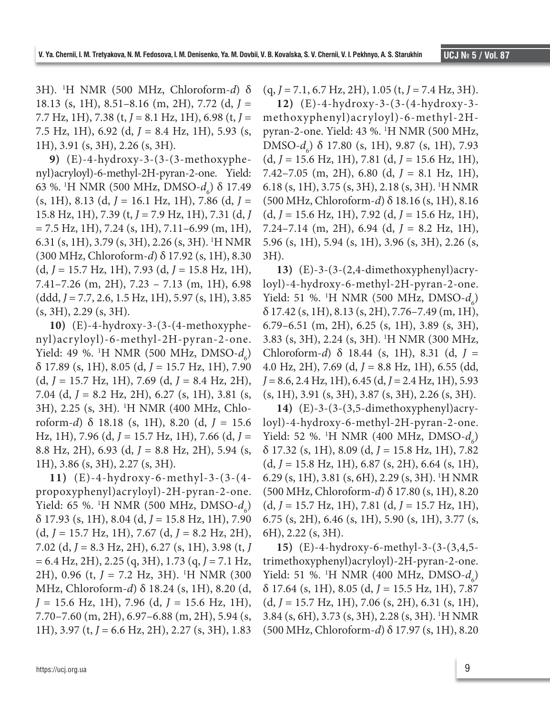3H). 1 H NMR (500 MHz, Chloroform-*d*) δ 18.13 (s, 1H), 8.51–8.16 (m, 2H), 7.72 (d, *J* = 7.7 Hz, 1H), 7.38 (t, *J* = 8.1 Hz, 1H), 6.98 (t, *J* = 7.5 Hz, 1H), 6.92 (d, *J* = 8.4 Hz, 1H), 5.93 (s, 1H), 3.91 (s, 3H), 2.26 (s, 3H).

**9)** (E)-4-hydroxy-3-(3-(3-methoxyphenyl)acryloyl)-6-methyl-2H-pyran-2-one. Yield: 63 %. <sup>1</sup>H NMR (500 MHz, DMSO- $d_6$ ) δ 17.49 (s, 1H), 8.13 (d, *J* = 16.1 Hz, 1H), 7.86 (d, *J* = 15.8 Hz, 1H), 7.39 (t, *J* = 7.9 Hz, 1H), 7.31 (d, *J*  $= 7.5$  Hz, 1H), 7.24 (s, 1H), 7.11–6.99 (m, 1H), 6.31 (s, 1H), 3.79 (s, 3H), 2.26 (s, 3H). 1 H NMR (300 MHz, Chloroform-*d*) δ 17.92 (s, 1H), 8.30 (d, *J* = 15.7 Hz, 1H), 7.93 (d, *J* = 15.8 Hz, 1H), 7.41–7.26 (m, 2H), 7.23 – 7.13 (m, 1H), 6.98 (ddd, *J* = 7.7, 2.6, 1.5 Hz, 1H), 5.97 (s, 1H), 3.85 (s, 3H), 2.29 (s, 3H).

**10)** (E)-4-hydroxy-3-(3-(4-methoxyphenyl)acryloyl)-6-methyl-2H-pyran-2-one. Yield: 49 %. <sup>1</sup>H NMR (500 MHz, DMSO- $d_6$ ) δ 17.89 (s, 1H), 8.05 (d, *J* = 15.7 Hz, 1H), 7.90 (d, *J* = 15.7 Hz, 1H), 7.69 (d, *J* = 8.4 Hz, 2H), 7.04 (d, *J* = 8.2 Hz, 2H), 6.27 (s, 1H), 3.81 (s, 3H), 2.25 (s, 3H). 1 H NMR (400 MHz, Chloroform-*d*) δ 18.18 (s, 1H), 8.20 (d, *J* = 15.6 Hz, 1H), 7.96 (d, *J* = 15.7 Hz, 1H), 7.66 (d, *J* = 8.8 Hz, 2H), 6.93 (d, *J* = 8.8 Hz, 2H), 5.94 (s, 1H), 3.86 (s, 3H), 2.27 (s, 3H).

**11)** (E)-4-hydroxy-6-methyl-3-(3-(4 propoxyphenyl)acryloyl)-2H-pyran-2-one. Yield: 65 %. <sup>1</sup>H NMR (500 MHz, DMSO- $d_6$ ) δ 17.93 (s, 1H), 8.04 (d, *J* = 15.8 Hz, 1H), 7.90 (d, *J* = 15.7 Hz, 1H), 7.67 (d, *J* = 8.2 Hz, 2H), 7.02 (d, *J* = 8.3 Hz, 2H), 6.27 (s, 1H), 3.98 (t, *J* = 6.4 Hz, 2H), 2.25 (q, 3H), 1.73 (q, *J* = 7.1 Hz, 2H), 0.96 (t, *J* = 7.2 Hz, 3H). <sup>1</sup>H NMR (300 MHz, Chloroform-*d*) δ 18.24 (s, 1H), 8.20 (d, *J* = 15.6 Hz, 1H), 7.96 (d, *J* = 15.6 Hz, 1H), 7.70–7.60 (m, 2H), 6.97–6.88 (m, 2H), 5.94 (s, 1H), 3.97 (t, *J* = 6.6 Hz, 2H), 2.27 (s, 3H), 1.83

(q, *J* = 7.1, 6.7 Hz, 2H), 1.05 (t, *J* = 7.4 Hz, 3H).

**12)** (E)-4-hydroxy-3-(3-(4-hydroxy-3 methoxyphenyl)acryloyl)-6-methyl-2Hpyran-2-one. Yield: 43 %. <sup>1</sup> H NMR (500 MHz, DMSO-*d*<sub>6</sub></sub>) δ 17.80 (s, 1H), 9.87 (s, 1H), 7.93 (d, *J* = 15.6 Hz, 1H), 7.81 (d, *J* = 15.6 Hz, 1H), 7.42–7.05 (m, 2H), 6.80 (d, *J* = 8.1 Hz, 1H), 6.18 (s, 1H), 3.75 (s, 3H), 2.18 (s, 3H). 1 H NMR (500 MHz, Chloroform-*d*) δ 18.16 (s, 1H), 8.16 (d, *J* = 15.6 Hz, 1H), 7.92 (d, *J* = 15.6 Hz, 1H), 7.24–7.14 (m, 2H), 6.94 (d, *J* = 8.2 Hz, 1H), 5.96 (s, 1H), 5.94 (s, 1H), 3.96 (s, 3H), 2.26 (s, 3H).

**13)** (E)-3-(3-(2,4-dimethoxyphenyl)acryloyl)-4-hydroxy-6-methyl-2H-pyran-2-one. Yield: 51 %. <sup>1</sup>H NMR (500 MHz, DMSO- $d_6$ ) δ 17.42 (s, 1H), 8.13 (s, 2H), 7.76–7.49 (m, 1H), 6.79–6.51 (m, 2H), 6.25 (s, 1H), 3.89 (s, 3H), 3.83 (s, 3H), 2.24 (s, 3H). 1 H NMR (300 MHz, Chloroform-*d*) δ 18.44 (s, 1H), 8.31 (d, *J* = 4.0 Hz, 2H), 7.69 (d, *J* = 8.8 Hz, 1H), 6.55 (dd, *J* = 8.6, 2.4 Hz, 1H), 6.45 (d, *J* = 2.4 Hz, 1H), 5.93 (s, 1H), 3.91 (s, 3H), 3.87 (s, 3H), 2.26 (s, 3H).

**14)** (E)-3-(3-(3,5-dimethoxyphenyl)acryloyl)-4-hydroxy-6-methyl-2H-pyran-2-one. Yield: 52 %. <sup>1</sup>H NMR (400 MHz, DMSO- $d_6$ ) δ 17.32 (s, 1H), 8.09 (d, *J* = 15.8 Hz, 1H), 7.82 (d, *J* = 15.8 Hz, 1H), 6.87 (s, 2H), 6.64 (s, 1H), 6.29 (s, 1H), 3.81 (s, 6H), 2.29 (s, 3H). 1 H NMR (500 MHz, Chloroform-*d*) δ 17.80 (s, 1H), 8.20 (d, *J* = 15.7 Hz, 1H), 7.81 (d, *J* = 15.7 Hz, 1H), 6.75 (s, 2H), 6.46 (s, 1H), 5.90 (s, 1H), 3.77 (s, 6H), 2.22 (s, 3H).

**15)** (E)-4-hydroxy-6-methyl-3-(3-(3,4,5 trimethoxyphenyl)acryloyl)-2H-pyran-2-one. Yield: 51 %. <sup>1</sup>H NMR (400 MHz, DMSO- $d_6$ ) δ 17.64 (s, 1H), 8.05 (d, *J* = 15.5 Hz, 1H), 7.87 (d, *J* = 15.7 Hz, 1H), 7.06 (s, 2H), 6.31 (s, 1H), 3.84 (s, 6H), 3.73 (s, 3H), 2.28 (s, 3H). 1 H NMR (500 MHz, Chloroform-*d*) δ 17.97 (s, 1H), 8.20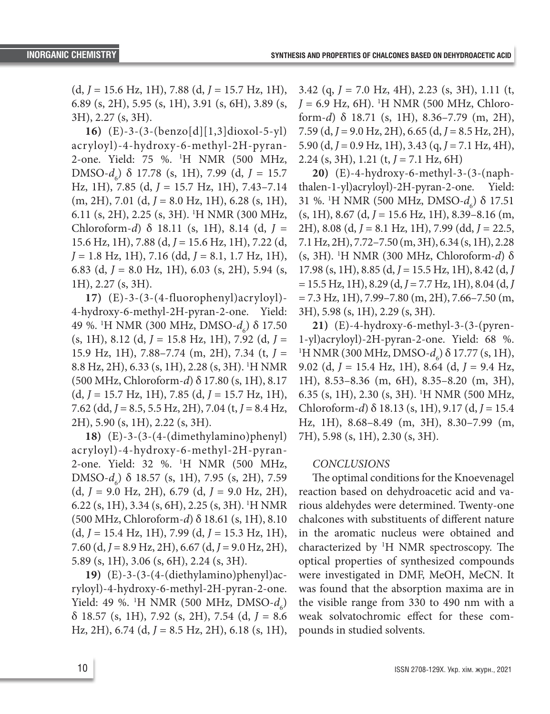(d, *J* = 15.6 Hz, 1H), 7.88 (d, *J* = 15.7 Hz, 1H), 6.89 (s, 2H), 5.95 (s, 1H), 3.91 (s, 6H), 3.89 (s, 3H), 2.27 (s, 3H).

**16)** (E)-3-(3-(benzo[d][1,3]dioxol-5-yl) acryloyl)-4-hydroxy-6-methyl-2H-pyran-2-one. Yield: 75 %. <sup>1</sup> H NMR (500 MHz, DMSO-*d*<sup>6</sup> ) δ 17.78 (s, 1H), 7.99 (d, *J* = 15.7 Hz, 1H), 7.85 (d, *J* = 15.7 Hz, 1H), 7.43–7.14 (m, 2H), 7.01 (d, *J* = 8.0 Hz, 1H), 6.28 (s, 1H), 6.11 (s, 2H), 2.25 (s, 3H). 1 H NMR (300 MHz, Chloroform-*d*) δ 18.11 (s, 1H), 8.14 (d, *J* = 15.6 Hz, 1H), 7.88 (d, *J* = 15.6 Hz, 1H), 7.22 (d, *J* = 1.8 Hz, 1H), 7.16 (dd, *J* = 8.1, 1.7 Hz, 1H), 6.83 (d, *J* = 8.0 Hz, 1H), 6.03 (s, 2H), 5.94 (s, 1H), 2.27 (s, 3H).

**17)** (E)-3-(3-(4-fluorophenyl)acryloyl)- 4-hydroxy-6-methyl-2H-pyran-2-one. Yield: 49 %. <sup>1</sup>H NMR (300 MHz, DMSO-*d<sub>6</sub>*) δ 17.50 (s, 1H), 8.12 (d, *J* = 15.8 Hz, 1H), 7.92 (d, *J* = 15.9 Hz, 1H), 7.88–7.74 (m, 2H), 7.34 (t, *J* = 8.8 Hz, 2H), 6.33 (s, 1H), 2.28 (s, 3H). 1 H NMR (500 MHz, Chloroform-*d*) δ 17.80 (s, 1H), 8.17 (d, *J* = 15.7 Hz, 1H), 7.85 (d, *J* = 15.7 Hz, 1H), 7.62 (dd, *J* = 8.5, 5.5 Hz, 2H), 7.04 (t, *J* = 8.4 Hz, 2H), 5.90 (s, 1H), 2.22 (s, 3H).

**18)** (E)-3-(3-(4-(dimethylamino)phenyl) acryloyl)-4-hydroxy-6-methyl-2H-pyran-2-one. Yield: 32 %. 1 H NMR (500 MHz, DMSO-*d*<sub>6</sub></sub>) δ 18.57 (s, 1H), 7.95 (s, 2H), 7.59 (d, *J* = 9.0 Hz, 2H), 6.79 (d, *J* = 9.0 Hz, 2H), 6.22 (s, 1H), 3.34 (s, 6H), 2.25 (s, 3H). 1 H NMR (500 MHz, Chloroform-*d*) δ 18.61 (s, 1H), 8.10 (d, *J* = 15.4 Hz, 1H), 7.99 (d, *J* = 15.3 Hz, 1H), 7.60 (d, *J* = 8.9 Hz, 2H), 6.67 (d, *J* = 9.0 Hz, 2H), 5.89 (s, 1H), 3.06 (s, 6H), 2.24 (s, 3H).

**19)** (E)-3-(3-(4-(diethylamino)phenyl)acryloyl)-4-hydroxy-6-methyl-2H-pyran-2-one. Yield: 49 %. <sup>1</sup>H NMR (500 MHz, DMSO- $d_6$ ) δ 18.57 (s, 1H), 7.92 (s, 2H), 7.54 (d, *J* = 8.6 Hz, 2H), 6.74 (d, *J* = 8.5 Hz, 2H), 6.18 (s, 1H),

3.42 (q, *J* = 7.0 Hz, 4H), 2.23 (s, 3H), 1.11 (t, *J* = 6.9 Hz, 6H). <sup>1</sup>H NMR (500 MHz, Chloroform-*d*) δ 18.71 (s, 1H), 8.36–7.79 (m, 2H), 7.59 (d, *J* = 9.0 Hz, 2H), 6.65 (d, *J* = 8.5 Hz, 2H), 5.90 (d, *J* = 0.9 Hz, 1H), 3.43 (q, *J* = 7.1 Hz, 4H), 2.24 (s, 3H), 1.21 (t, *J* = 7.1 Hz, 6H)

**20)** (E)-4-hydroxy-6-methyl-3-(3-(naphthalen-1-yl)acryloyl)-2H-pyran-2-one. Yield: 31 %. <sup>1</sup>H NMR (500 MHz, DMSO-*d<sub>6</sub>*) δ 17.51 (s, 1H), 8.67 (d, *J* = 15.6 Hz, 1H), 8.39–8.16 (m, 2H), 8.08 (d, *J* = 8.1 Hz, 1H), 7.99 (dd, *J* = 22.5, 7.1 Hz, 2H), 7.72–7.50 (m, 3H), 6.34 (s, 1H), 2.28 (s, 3H). 1 H NMR (300 MHz, Chloroform-*d*) δ 17.98 (s, 1H), 8.85 (d, *J* = 15.5 Hz, 1H), 8.42 (d, *J* = 15.5 Hz, 1H), 8.29 (d, *J* = 7.7 Hz, 1H), 8.04 (d, *J*  $= 7.3$  Hz, 1H), 7.99–7.80 (m, 2H), 7.66–7.50 (m, 3H), 5.98 (s, 1H), 2.29 (s, 3H).

**21)** (E)-4-hydroxy-6-methyl-3-(3-(pyren-1-yl)acryloyl)-2H-pyran-2-one. Yield: 68 %. <sup>1</sup>H NMR (300 MHz, DMSO*-d<sub>6</sub>*) δ 17.77 (s, 1H), 9.02 (d, *J* = 15.4 Hz, 1H), 8.64 (d, *J* = 9.4 Hz, 1H), 8.53–8.36 (m, 6H), 8.35–8.20 (m, 3H), 6.35 (s, 1H), 2.30 (s, 3H). 1 H NMR (500 MHz, Chloroform-*d*) δ 18.13 (s, 1H), 9.17 (d, *J* = 15.4 Hz, 1H), 8.68–8.49 (m, 3H), 8.30–7.99 (m, 7H), 5.98 (s, 1H), 2.30 (s, 3H).

#### *CONCLUSIONS*

The optimal conditions for the Knoevenagel reaction based on dehydroacetic acid and various aldehydes were determined. Twenty-one chalcones with substituents of different nature in the aromatic nucleus were obtained and characterized by 1 H NMR spectroscopy. The optical properties of synthesized compounds were investigated in DMF, MeOH, MeCN. It was found that the absorption maxima are in the visible range from 330 to 490 nm with a weak solvatochromic effect for these compounds in studied solvents.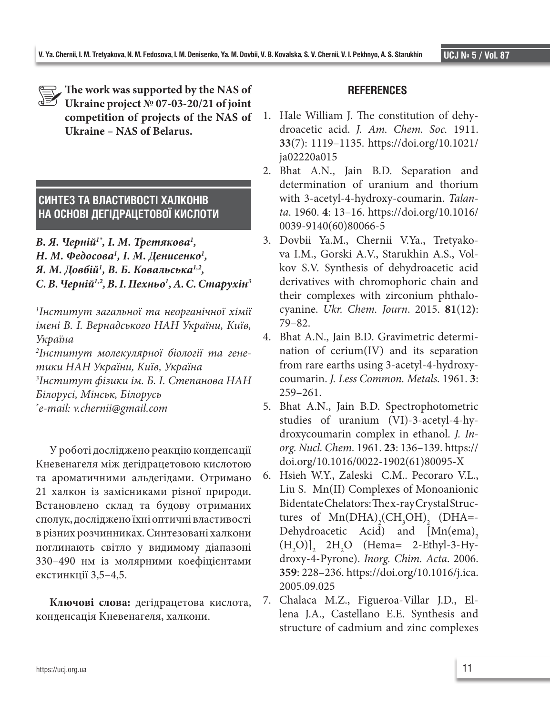**The work was supported by the NAS of Ukraine project № 07-03-20/21 of joint competition of projects of the NAS of Ukraine – NAS of Belarus.**

# **СИНТЕЗ ТА ВЛАСТИВОСТІ ХАЛКОНІВ НА ОСНОВІ ДЕГІДРАЦЕТОВОЇ КИСЛОТИ**

*В. Я. Черній1\*, І. М. Третякова1 , Н. М. Федосова1 , І. М. Денисенко1 , Я. М. Довбій1 , В. Б. Ковальська1,2, С. В. Черній1,2, В. І. Пехньо1 , А. С. Старухін3*

*1 Інститут загальної та неорганічної хімії імені В. І. Вернадського НАН України, Київ, Україна*

*2 Інститут молекулярної біології та генетики НАН України, Київ, Україна*

*3 Інститут фізики ім. Б. І. Степанова НАН* 

*Білорусі, Мінськ, Білорусь*

*\* e-mail: v.chernii@gmail.com*

У роботі досліджено реакцію конденсації Кневенагеля між дегідрацетовою кислотою та ароматичними альдегідами. Отримано 21 халкон із замісниками різної природи. Встановлено склад та будову отриманих сполук, досліджено їхні оптичні властивості в різних розчинниках. Синтезовані халкони поглинають світло у видимому діапазоні 330–490 нм із молярними коефіцієнтами екстинкції 3,5–4,5.

**Ключові слова:** дегідрацетова кислота, конденсація Кневенагеля, халкони.

## **REFERENCES**

- 1. Hale William J. The constitution of dehydroacetic acid. *J. Am. Chem. Soc.* 1911. **33**(7): 1119–1135. https://doi.org/10.1021/ ja02220a015
- 2. Bhat A.N., Jain B.D. Separation and determination of uranium and thorium with 3-acetyl-4-hydroxy-coumarin. *Talanta*. 1960. **4**: 13–16. https://doi.org/10.1016/ 0039-9140(60)80066-5
- 3. Dovbii Ya.M., Chernii V.Ya., Tretyakova I.M., Gorski A.V., Starukhin A.S., Volkov S.V. Synthesis of dehydroacetic acid derivatives with chromophoric chain and their complexes with zirconium phthalocyanine. *Ukr. Chem. Journ*. 2015. **81**(12**)**: 79–82.
- 4. Bhat A.N., Jain B.D. Gravimetric determination of cerium(IV) and its separation from rare earths using 3-acetyl-4-hydroxycoumarin. *J. Less Common. Metals.* 1961. **3**: 259–261.
- 5. Bhat A.N., Jain B.D. Spectrophotometric studies of uranium (VI)-3-acetyl-4-hydroxycoumarin complex in ethanol. *J. Inorg. Nucl. Chem.* 1961. **23**: 136–139. https:// doi.org/10.1016/0022-1902(61)80095-X
- 6. Hsieh W.Y., Zaleski C.M.. Pecoraro V.L., Liu S. Mn(II) Complexes of Monoanionic Bidentate Chelators: The x-ray Crystal Structures of  $Mn(DHA)_{2}(CH_{3}OH)_{2}$  (DHA=-Dehydroacetic Acid) and  $[{\rm Mn}(\text{ema}),$  $(H_2O)$ ]<sub>2</sub> 2H<sub>2</sub>O (Hema= 2-Ethyl-3-Hydroxy-4-Pyrone). *Inorg. Chim. Acta*. 2006. **359**: 228–236. https://doi.org/10.1016/j.ica. 2005.09.025
- 7. Chalaca M.Z., Figueroa-Villar J.D., Ellena J.A., Castellano E.E. Synthesis and structure of cadmium and zinc complexes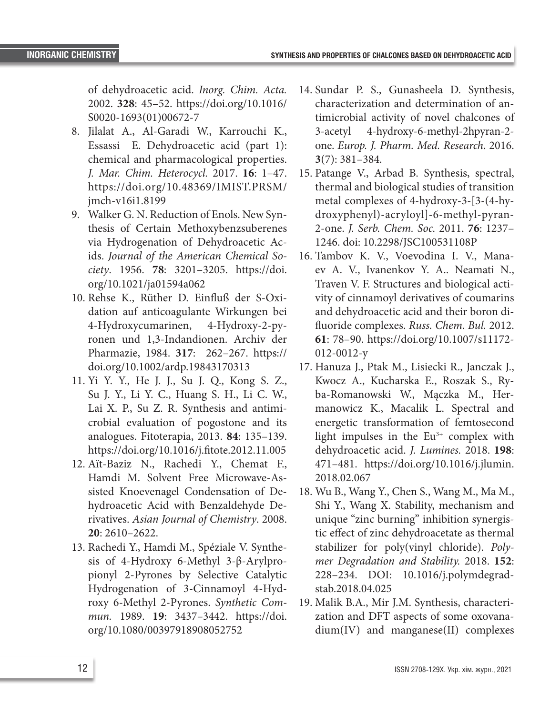of dehydroacetic acid. *Inorg. Chim. Acta.* 2002. **328**: 45–52. https://doi.org/10.1016/ S0020-1693(01)00672-7

- 8. Jilalat A., Al-Garadi W., Karrouchi K., Essassi E. Dehydroacetic acid (part 1): chemical and pharmacological properties. *J. Mar. Chim. Heterocycl.* 2017. **16**: 1–47. https://doi.org/10.48369/IMIST.PRSM/ jmch-v16i1.8199
- 9. Walker G. N. Reduction of Enols. New Synthesis of Certain Methoxybenzsuberenes via Hydrogenation of Dehydroacetic Acids. *Journal of the American Chemical Society*. 1956. **78**: 3201–3205. https://doi. org/10.1021/ja01594a062
- 10. Rehse K., Rüther D. Einfluß der S-Oxidation auf anticoagulante Wirkungen bei 4-Hydroxycumarinen, 4-Hydroxy-2-pyronen und 1,3-Indandionen. Archiv der Pharmazie, 1984. **317**: 262–267. https:// doi.org/10.1002/ardp.19843170313
- 11. Yi Y. Y., He J. J., Su J. Q., Kong S. Z., Su J. Y., Li Y. C., Huang S. H., Li C. W., Lai X. P., Su Z. R. Synthesis and antimicrobial evaluation of pogostone and its analogues. Fitoterapia, 2013. **84**: 135–139. https://doi.org/10.1016/j.fitote.2012.11.005
- 12. Aït-Baziz N., Rachedi Y., Chemat F., Hamdi M. Solvent Free Microwave-Assisted Knoevenagel Condensation of Dehydroacetic Acid with Benzaldehyde Derivatives. *Asian Journal of Chemistry*. 2008. **20**: 2610–2622.
- 13. Rachedi Y., Hamdi M., Spéziale V. Synthesis of 4-Hydroxy 6-Methyl 3-β-Arylpropionyl 2-Pyrones by Selective Catalytic Hydrogenation of 3-Cinnamoyl 4-Hydroxy 6-Methyl 2-Pyrones. *Synthetic Commun.* 1989. **19**: 3437*–*3442. https://doi. org/10.1080/00397918908052752
- 14. Sundar P. S., Gunasheela D. Synthesis, characterization and determination of antimicrobial activity of novel chalcones of 3-acetyl 4-hydroxy-6-methyl-2hpyran-2 one. *Europ. J. Pharm. Med. Research*. 2016. **3**(7): 381–384.
- 15. Patange V., Arbad B. Synthesis, spectral, thermal and biological studies of transition metal complexes of 4-hydroxy-3-[3-(4-hydroxyphenyl)-acryloyl]-6-methyl-pyran-2-one. *J. Serb. Chem. Soc.* 2011. **76**: 1237– 1246. doi: 10.2298/JSC100531108P
- 16. Tambov K. V., Voevodina I. V., Manaev A. V., Ivanenkov Y. A.. Neamati N., Traven V. F. Structures and biological activity of cinnamoyl derivatives of coumarins and dehydroacetic acid and their boron difluoride complexes. *Russ. Chem. Bul.* 2012. **61**: 78–90. https://doi.org/10.1007/s11172- 012-0012-y
- 17. Hanuza J., Ptak M., Lisiecki R., Janczak J., Kwocz A., Kucharska E., Roszak S., Ryba-Romanowski W., Mączka M., Hermanowicz K., Macalik L. Spectral and energetic transformation of femtosecond light impulses in the  $Eu<sup>3+</sup>$  complex with dehydroacetic acid. *J. Lumines.* 2018. **198**: 471–481. https://doi.org/10.1016/j.jlumin. 2018.02.067
- 18. Wu B., Wang Y., Chen S., Wang M., Ma M., Shi Y., Wang X. Stability, mechanism and unique "zinc burning" inhibition synergistic effect of zinc dehydroacetate as thermal stabilizer for poly(vinyl chloride). *Polymer Degradation and Stability.* 2018. **152**: 228–234. DOI: 10.1016/j.polymdegradstab.2018.04.025
- 19. Malik B.A., Mir J.M. Synthesis, characterization and DFT aspects of some oxovanadium(IV) and manganese(II) complexes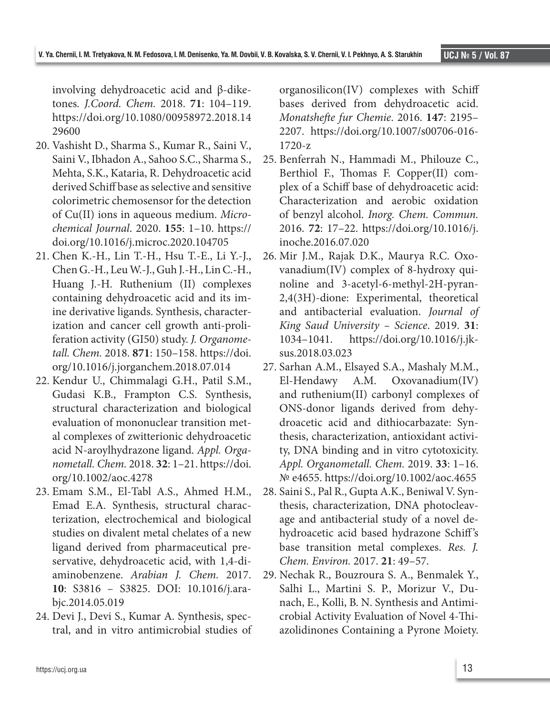involving dehydroacetic acid and β-diketones*. J.Coord. Chem.* 2018. **71**: 104–119. https://doi.org/10.1080/00958972.2018.14 29600

- 20. Vashisht D., Sharma S., Kumar R., Saini V., Saini V., Ibhadon A., Sahoo S.C., Sharma S., Mehta, S.K., Kataria, R. Dehydroacetic acid derived Schiff base as selective and sensitive colorimetric chemosensor for the detection of Cu(II) ions in aqueous medium. *Microchemical Journal*. 2020. **155**: 1–10. https:// doi.org/10.1016/j.microc.2020.104705
- 21. Chen K.-H., Lin T.-H., Hsu T.-E., Li Y.-J., Chen G.-H., Leu W.-J., Guh J.-H., Lin C.-H., Huang J.-H. Ruthenium (II) complexes containing dehydroacetic acid and its imine derivative ligands. Synthesis, characterization and cancer cell growth anti-proliferation activity (GI50) study. *J. Organometall. Chem.* 2018. **871**: 150–158. https://doi. org/10.1016/j.jorganchem.2018.07.014
- 22. Kendur U., Chimmalagi G.H., Patil S.M., Gudasi K.B., Frampton C.S. Synthesis, structural characterization and biological evaluation of mononuclear transition metal complexes of zwitterionic dehydroacetic acid N-aroylhydrazone ligand. *Appl. Organometall. Chem.* 2018. **32**: 1–21. https://doi. org/10.1002/aoc.4278
- 23. Emam S.M., El-Tabl A.S., Ahmed H.M., Emad E.A. Synthesis, structural characterization, electrochemical and biological studies on divalent metal chelates of a new ligand derived from pharmaceutical preservative, dehydroacetic acid, with 1,4-diaminobenzene. *Arabian J. Chem.* 2017. **10**: S3816 – S3825. DOI: 10.1016/j.arabjc.2014.05.019
- 24. Devi J., Devi S., Kumar A. Synthesis, spectral, and in vitro antimicrobial studies of

organosilicon(IV) complexes with Schiff bases derived from dehydroacetic acid. *Monatshefte fur Chemie*. 2016. **147**: 2195– 2207. https://doi.org/10.1007/s00706-016- 1720-z

- 25. Benferrah N., Hammadi M., Philouze C., Berthiol F., Thomas F. Copper(II) complex of a Schiff base of dehydroacetic acid: Characterization and aerobic oxidation of benzyl alcohol. *Inorg. Chem. Commun.* 2016. **72**: 17–22. https://doi.org/10.1016/j. inoche.2016.07.020
- 26. Mir J.M., Rajak D.K., Maurya R.C. Oxovanadium(IV) complex of 8-hydroxy quinoline and 3-acetyl-6-methyl-2H-pyran-2,4(3H)-dione: Experimental, theoretical and antibacterial evaluation. *Journal of King Saud University – Science*. 2019. **31**: 1034–1041. https://doi.org/10.1016/j.jksus.2018.03.023
- 27. Sarhan A.M., Elsayed S.A., Mashaly M.M., El-Hendawy A.M. Oxovanadium(IV) and ruthenium(II) carbonyl complexes of ONS-donor ligands derived from dehydroacetic acid and dithiocarbazate: Synthesis, characterization, antioxidant activity, DNA binding and in vitro cytotoxicity. *Appl. Organometall. Chem.* 2019. **33**: 1–16. № e4655. https://doi.org/10.1002/aoc.4655
- 28. Saini S., Pal R., Gupta A.K., Beniwal V. Synthesis, characterization, DNA photocleavage and antibacterial study of a novel dehydroacetic acid based hydrazone Schiff 's base transition metal complexes. *Res. J. Chem. Environ.* 2017. **21**: 49–57.
- 29. Nechak R., Bouzroura S. A., Benmalek Y., Salhi L., Martini S. P., Morizur V., Dunach, E., Kolli, B. N. Synthesis and Antimicrobial Activity Evaluation of Novel 4-Thiazolidinones Containing a Pyrone Moiety.